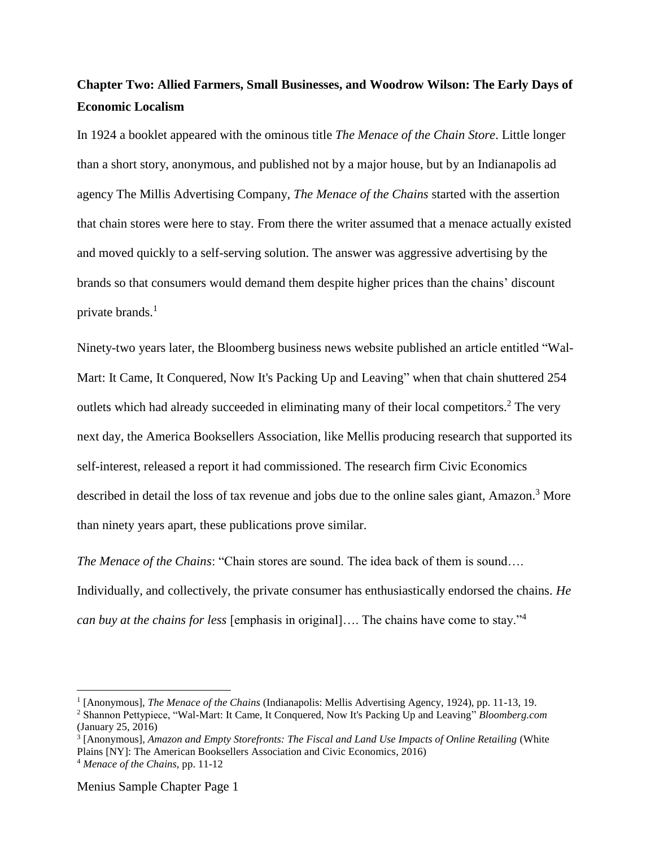# **Chapter Two: Allied Farmers, Small Businesses, and Woodrow Wilson: The Early Days of Economic Localism**

In 1924 a booklet appeared with the ominous title *The Menace of the Chain Store*. Little longer than a short story, anonymous, and published not by a major house, but by an Indianapolis ad agency The Millis Advertising Company, *The Menace of the Chains* started with the assertion that chain stores were here to stay. From there the writer assumed that a menace actually existed and moved quickly to a self-serving solution. The answer was aggressive advertising by the brands so that consumers would demand them despite higher prices than the chains' discount private brands.<sup>1</sup>

Ninety-two years later, the Bloomberg business news website published an article entitled "Wal-Mart: It Came, It Conquered, Now It's Packing Up and Leaving" when that chain shuttered 254 outlets which had already succeeded in eliminating many of their local competitors.<sup>2</sup> The very next day, the America Booksellers Association, like Mellis producing research that supported its self-interest, released a report it had commissioned. The research firm Civic Economics described in detail the loss of tax revenue and jobs due to the online sales giant, Amazon.<sup>3</sup> More than ninety years apart, these publications prove similar.

*The Menace of the Chains*: "Chain stores are sound. The idea back of them is sound…. Individually, and collectively, the private consumer has enthusiastically endorsed the chains. *He can buy at the chains for less* [emphasis in original]…. The chains have come to stay."<sup>4</sup>

<sup>1</sup> [Anonymous], *The Menace of the Chains* (Indianapolis: Mellis Advertising Agency, 1924), pp. 11-13, 19.

<sup>2</sup> Shannon Pettypiece, "Wal-Mart: It Came, It Conquered, Now It's Packing Up and Leaving" *Bloomberg.com* (January 25, 2016)

<sup>3</sup> [Anonymous], *Amazon and Empty Storefronts: The Fiscal and Land Use Impacts of Online Retailing* (White Plains [NY]: The American Booksellers Association and Civic Economics, 2016)

<sup>4</sup> *Menace of the Chains*, pp. 11-12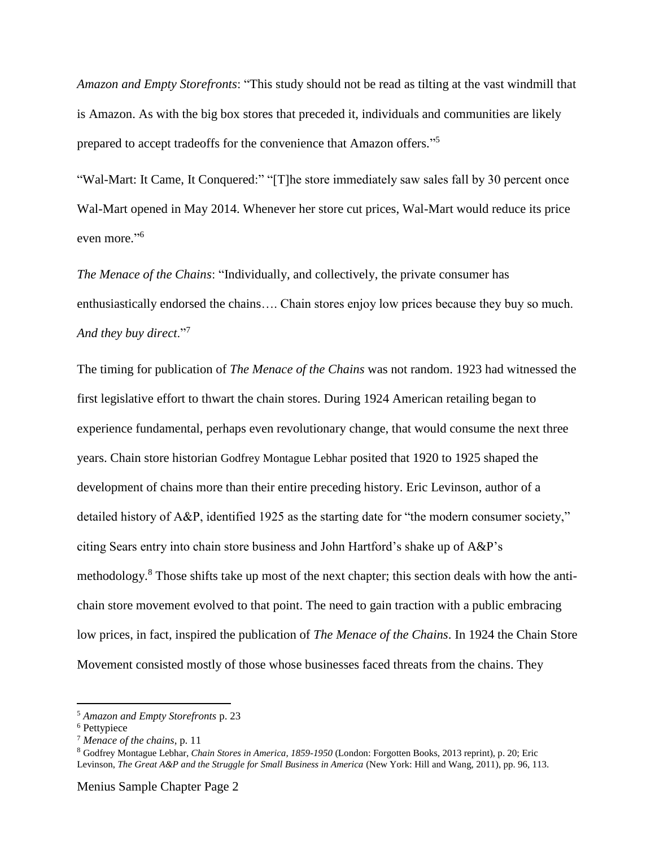*Amazon and Empty Storefronts*: "This study should not be read as tilting at the vast windmill that is Amazon. As with the big box stores that preceded it, individuals and communities are likely prepared to accept tradeoffs for the convenience that Amazon offers."<sup>5</sup>

"Wal-Mart: It Came, It Conquered:" "[T]he store immediately saw sales fall by 30 percent once Wal-Mart opened in May 2014. Whenever her store cut prices, Wal-Mart would reduce its price even more."<sup>6</sup>

*The Menace of the Chains*: "Individually, and collectively, the private consumer has enthusiastically endorsed the chains…. Chain stores enjoy low prices because they buy so much. *And they buy direct*."<sup>7</sup>

The timing for publication of *The Menace of the Chains* was not random. 1923 had witnessed the first legislative effort to thwart the chain stores. During 1924 American retailing began to experience fundamental, perhaps even revolutionary change, that would consume the next three years. Chain store historian Godfrey Montague Lebhar posited that 1920 to 1925 shaped the development of chains more than their entire preceding history. Eric Levinson, author of a detailed history of A&P, identified 1925 as the starting date for "the modern consumer society," citing Sears entry into chain store business and John Hartford's shake up of A&P's methodology.<sup>8</sup> Those shifts take up most of the next chapter; this section deals with how the antichain store movement evolved to that point. The need to gain traction with a public embracing low prices, in fact, inspired the publication of *The Menace of the Chains*. In 1924 the Chain Store Movement consisted mostly of those whose businesses faced threats from the chains. They

<sup>5</sup> *Amazon and Empty Storefronts* p. 23

<sup>&</sup>lt;sup>6</sup> Pettypiece

<sup>7</sup> *Menace of the chains*, p. 11

<sup>8</sup> Godfrey Montague Lebhar, *Chain Stores in America, 1859-1950* (London: Forgotten Books, 2013 reprint), p. 20; Eric Levinson, *The Great A&P and the Struggle for Small Business in America* (New York: Hill and Wang, 2011), pp. 96, 113.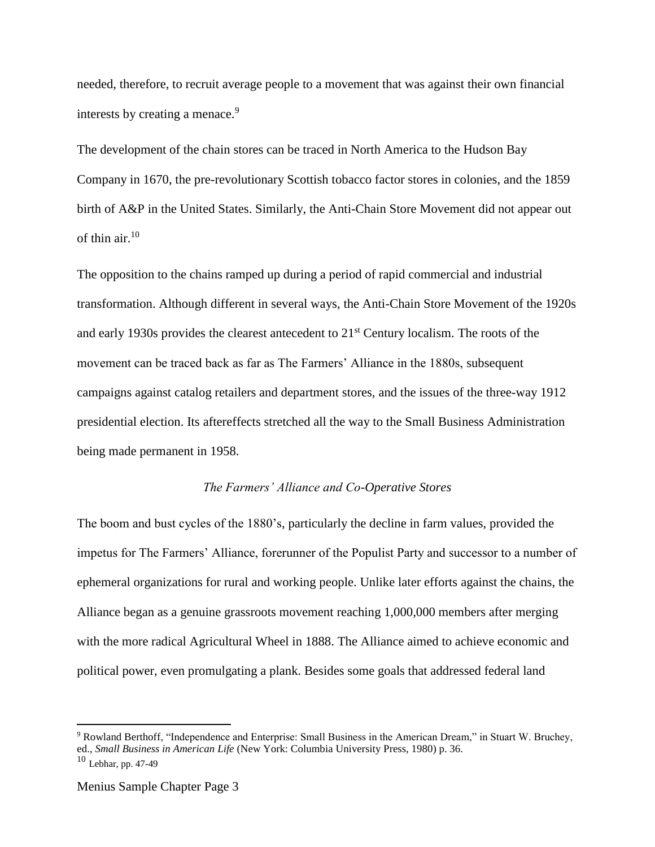needed, therefore, to recruit average people to a movement that was against their own financial interests by creating a menace.<sup>9</sup>

The development of the chain stores can be traced in North America to the Hudson Bay Company in 1670, the pre-revolutionary Scottish tobacco factor stores in colonies, and the 1859 birth of A&P in the United States. Similarly, the Anti-Chain Store Movement did not appear out of thin air. 10

The opposition to the chains ramped up during a period of rapid commercial and industrial transformation. Although different in several ways, the Anti-Chain Store Movement of the 1920s and early 1930s provides the clearest antecedent to 21st Century localism. The roots of the movement can be traced back as far as The Farmers' Alliance in the 1880s, subsequent campaigns against catalog retailers and department stores, and the issues of the three-way 1912 presidential election. Its aftereffects stretched all the way to the Small Business Administration being made permanent in 1958.

#### *The Farmers' Alliance and Co-Operative Stores*

The boom and bust cycles of the 1880's, particularly the decline in farm values, provided the impetus for The Farmers' Alliance, forerunner of the Populist Party and successor to a number of ephemeral organizations for rural and working people. Unlike later efforts against the chains, the Alliance began as a genuine grassroots movement reaching 1,000,000 members after merging with the more radical Agricultural Wheel in 1888. The Alliance aimed to achieve economic and political power, even promulgating a plank. Besides some goals that addressed federal land

<sup>9</sup> Rowland Berthoff, "Independence and Enterprise: Small Business in the American Dream," in Stuart W. Bruchey, ed., *Small Business in American Life* (New York: Columbia University Press, 1980) p. 36.

 $10$  Lebhar, pp. 47-49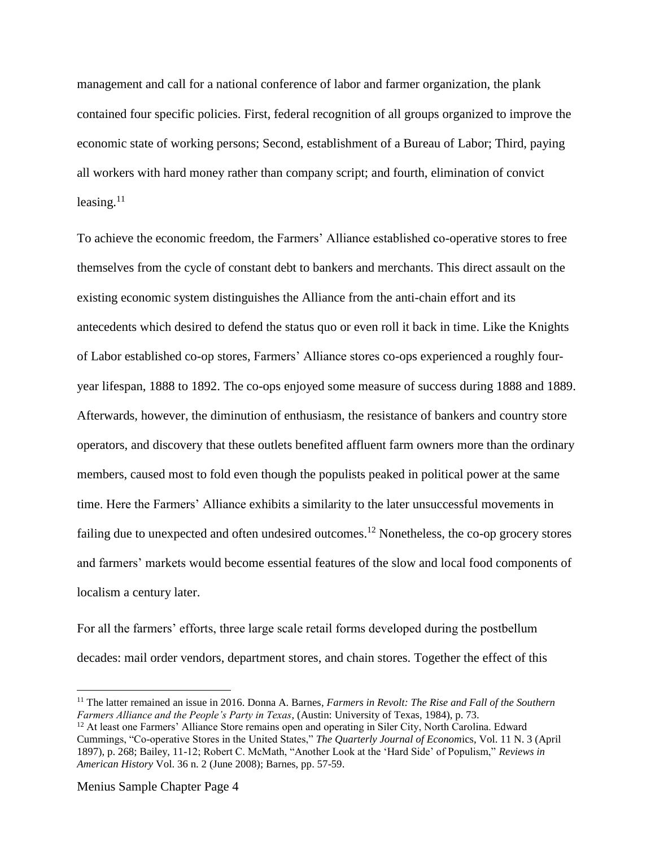management and call for a national conference of labor and farmer organization, the plank contained four specific policies. First, federal recognition of all groups organized to improve the economic state of working persons; Second, establishment of a Bureau of Labor; Third, paying all workers with hard money rather than company script; and fourth, elimination of convict leasing. $11$ 

To achieve the economic freedom, the Farmers' Alliance established co-operative stores to free themselves from the cycle of constant debt to bankers and merchants. This direct assault on the existing economic system distinguishes the Alliance from the anti-chain effort and its antecedents which desired to defend the status quo or even roll it back in time. Like the Knights of Labor established co-op stores, Farmers' Alliance stores co-ops experienced a roughly fouryear lifespan, 1888 to 1892. The co-ops enjoyed some measure of success during 1888 and 1889. Afterwards, however, the diminution of enthusiasm, the resistance of bankers and country store operators, and discovery that these outlets benefited affluent farm owners more than the ordinary members, caused most to fold even though the populists peaked in political power at the same time. Here the Farmers' Alliance exhibits a similarity to the later unsuccessful movements in failing due to unexpected and often undesired outcomes.<sup>12</sup> Nonetheless, the co-op grocery stores and farmers' markets would become essential features of the slow and local food components of localism a century later.

For all the farmers' efforts, three large scale retail forms developed during the postbellum decades: mail order vendors, department stores, and chain stores. Together the effect of this

Menius Sample Chapter Page 4

<sup>11</sup> The latter remained an issue in 2016. Donna A. Barnes, *Farmers in Revolt: The Rise and Fall of the Southern Farmers Alliance and the People's Party in Texas*, (Austin: University of Texas, 1984), p. 73.

<sup>&</sup>lt;sup>12</sup> At least one Farmers' Alliance Store remains open and operating in Siler City, North Carolina. Edward Cummings, "Co-operative Stores in the United States," *The Quarterly Journal of Econom*ics, Vol. 11 N. 3 (April 1897), p. 268; Bailey, 11-12; Robert C. McMath, "Another Look at the 'Hard Side' of Populism," *Reviews in American History* Vol. 36 n. 2 (June 2008); Barnes, pp. 57-59.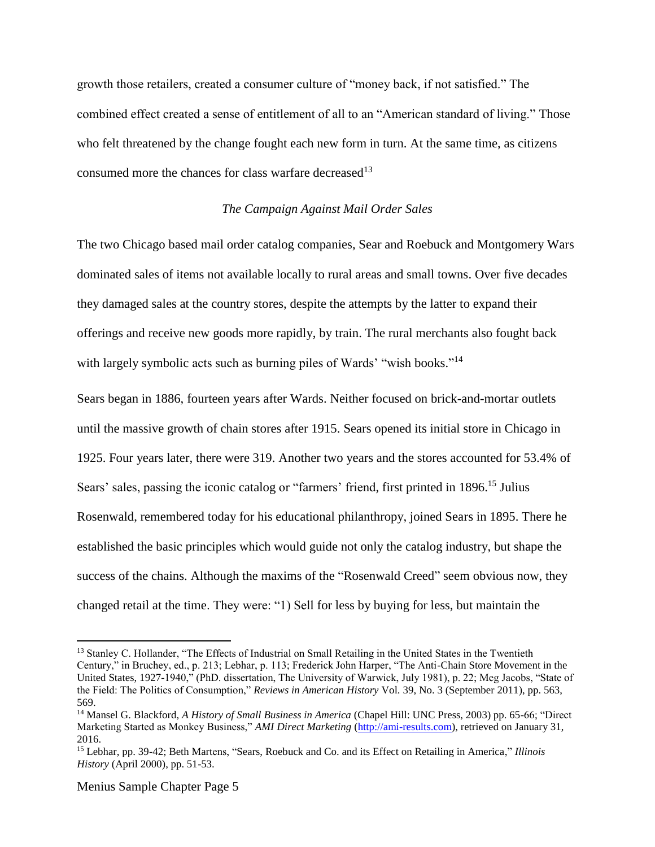growth those retailers, created a consumer culture of "money back, if not satisfied." The combined effect created a sense of entitlement of all to an "American standard of living." Those who felt threatened by the change fought each new form in turn. At the same time, as citizens consumed more the chances for class warfare decreased<sup>13</sup>

#### *The Campaign Against Mail Order Sales*

The two Chicago based mail order catalog companies, Sear and Roebuck and Montgomery Wars dominated sales of items not available locally to rural areas and small towns. Over five decades they damaged sales at the country stores, despite the attempts by the latter to expand their offerings and receive new goods more rapidly, by train. The rural merchants also fought back with largely symbolic acts such as burning piles of Wards' "wish books."<sup>14</sup>

Sears began in 1886, fourteen years after Wards. Neither focused on brick-and-mortar outlets until the massive growth of chain stores after 1915. Sears opened its initial store in Chicago in 1925. Four years later, there were 319. Another two years and the stores accounted for 53.4% of Sears' sales, passing the iconic catalog or "farmers' friend, first printed in 1896.<sup>15</sup> Julius Rosenwald, remembered today for his educational philanthropy, joined Sears in 1895. There he established the basic principles which would guide not only the catalog industry, but shape the success of the chains. Although the maxims of the "Rosenwald Creed" seem obvious now, they changed retail at the time. They were: "1) Sell for less by buying for less, but maintain the

<sup>&</sup>lt;sup>13</sup> Stanley C. Hollander, "The Effects of Industrial on Small Retailing in the United States in the Twentieth Century," in Bruchey, ed., p. 213; Lebhar, p. 113; Frederick John Harper, "The Anti-Chain Store Movement in the United States, 1927-1940," (PhD. dissertation, The University of Warwick, July 1981), p. 22; Meg Jacobs, "State of the Field: The Politics of Consumption," *Reviews in American History* Vol. 39, No. 3 (September 2011), pp. 563, 569.

<sup>14</sup> Mansel G. Blackford, *A History of Small Business in America* (Chapel Hill: UNC Press, 2003) pp. 65-66; "Direct Marketing Started as Monkey Business," *AMI Direct Marketing* [\(http://ami-results.com\)](http://ami-results.com/), retrieved on January 31, 2016.

<sup>15</sup> Lebhar, pp. 39-42; Beth Martens, "Sears, Roebuck and Co. and its Effect on Retailing in America," *Illinois History* (April 2000), pp. 51-53.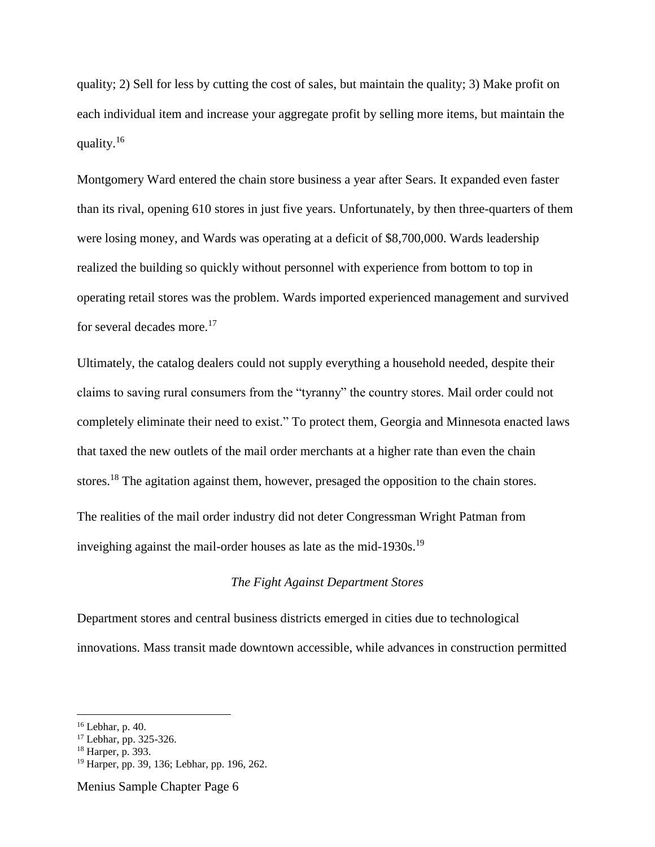quality; 2) Sell for less by cutting the cost of sales, but maintain the quality; 3) Make profit on each individual item and increase your aggregate profit by selling more items, but maintain the quality.<sup>16</sup>

Montgomery Ward entered the chain store business a year after Sears. It expanded even faster than its rival, opening 610 stores in just five years. Unfortunately, by then three-quarters of them were losing money, and Wards was operating at a deficit of \$8,700,000. Wards leadership realized the building so quickly without personnel with experience from bottom to top in operating retail stores was the problem. Wards imported experienced management and survived for several decades more.<sup>17</sup>

Ultimately, the catalog dealers could not supply everything a household needed, despite their claims to saving rural consumers from the "tyranny" the country stores. Mail order could not completely eliminate their need to exist." To protect them, Georgia and Minnesota enacted laws that taxed the new outlets of the mail order merchants at a higher rate than even the chain stores.<sup>18</sup> The agitation against them, however, presaged the opposition to the chain stores.

The realities of the mail order industry did not deter Congressman Wright Patman from inveighing against the mail-order houses as late as the mid-1930s.<sup>19</sup>

## *The Fight Against Department Stores*

Department stores and central business districts emerged in cities due to technological innovations. Mass transit made downtown accessible, while advances in construction permitted

 $16$  Lebhar, p. 40.

<sup>17</sup> Lebhar, pp. 325-326.

<sup>18</sup> Harper, p. 393.

<sup>19</sup> Harper, pp. 39, 136; Lebhar, pp. 196, 262.

Menius Sample Chapter Page 6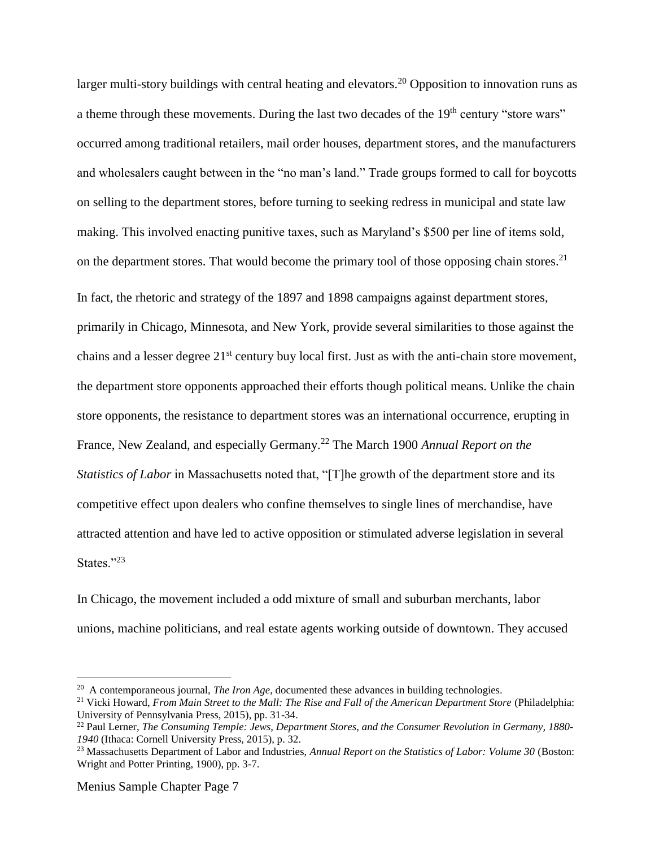larger multi-story buildings with central heating and elevators.<sup>20</sup> Opposition to innovation runs as a theme through these movements. During the last two decades of the  $19<sup>th</sup>$  century "store wars" occurred among traditional retailers, mail order houses, department stores, and the manufacturers and wholesalers caught between in the "no man's land." Trade groups formed to call for boycotts on selling to the department stores, before turning to seeking redress in municipal and state law making. This involved enacting punitive taxes, such as Maryland's \$500 per line of items sold, on the department stores. That would become the primary tool of those opposing chain stores.<sup>21</sup> In fact, the rhetoric and strategy of the 1897 and 1898 campaigns against department stores, primarily in Chicago, Minnesota, and New York, provide several similarities to those against the chains and a lesser degree 21<sup>st</sup> century buy local first. Just as with the anti-chain store movement, the department store opponents approached their efforts though political means. Unlike the chain store opponents, the resistance to department stores was an international occurrence, erupting in France, New Zealand, and especially Germany.<sup>22</sup> The March 1900 *Annual Report on the Statistics of Labor* in Massachusetts noted that, "[T]he growth of the department store and its competitive effect upon dealers who confine themselves to single lines of merchandise, have attracted attention and have led to active opposition or stimulated adverse legislation in several States."<sup>23</sup>

In Chicago, the movement included a odd mixture of small and suburban merchants, labor unions, machine politicians, and real estate agents working outside of downtown. They accused

<sup>&</sup>lt;sup>20</sup> A contemporaneous journal, *The Iron Age*, documented these advances in building technologies.

<sup>21</sup> Vicki Howard, *From Main Street to the Mall: The Rise and Fall of the American Department Store* (Philadelphia: University of Pennsylvania Press, 2015), pp. 31-34.

<sup>22</sup> Paul Lerner, *The Consuming Temple: Jews, Department Stores, and the Consumer Revolution in Germany, 1880- 1940* (Ithaca: Cornell University Press, 2015), p. 32.

<sup>23</sup> Massachusetts Department of Labor and Industries, *Annual Report on the Statistics of Labor: Volume 30* (Boston: Wright and Potter Printing, 1900), pp. 3-7.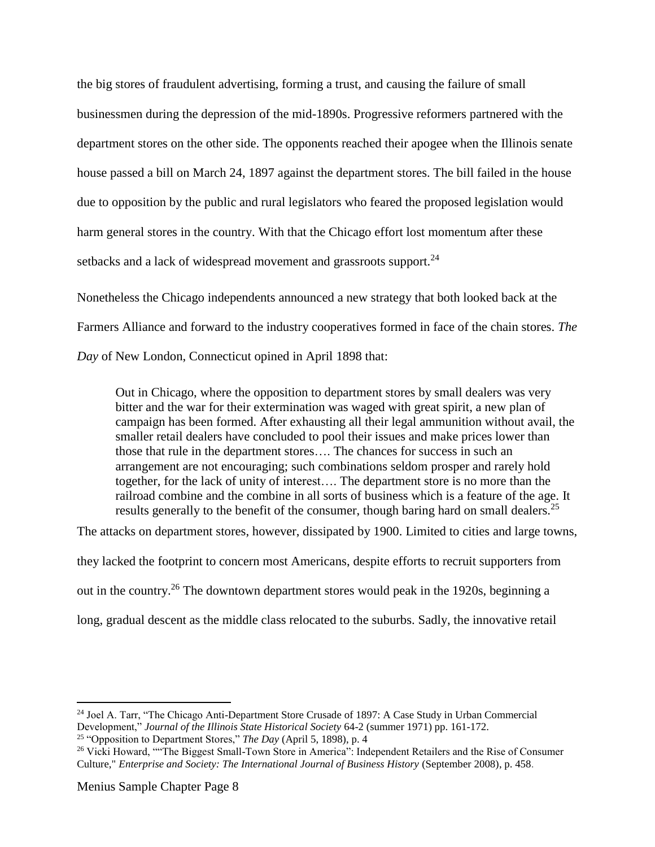the big stores of fraudulent advertising, forming a trust, and causing the failure of small businessmen during the depression of the mid-1890s. Progressive reformers partnered with the department stores on the other side. The opponents reached their apogee when the Illinois senate house passed a bill on March 24, 1897 against the department stores. The bill failed in the house due to opposition by the public and rural legislators who feared the proposed legislation would harm general stores in the country. With that the Chicago effort lost momentum after these setbacks and a lack of widespread movement and grassroots support.<sup>24</sup>

Nonetheless the Chicago independents announced a new strategy that both looked back at the Farmers Alliance and forward to the industry cooperatives formed in face of the chain stores. *The Day* of New London, Connecticut opined in April 1898 that:

Out in Chicago, where the opposition to department stores by small dealers was very bitter and the war for their extermination was waged with great spirit, a new plan of campaign has been formed. After exhausting all their legal ammunition without avail, the smaller retail dealers have concluded to pool their issues and make prices lower than those that rule in the department stores…. The chances for success in such an arrangement are not encouraging; such combinations seldom prosper and rarely hold together, for the lack of unity of interest…. The department store is no more than the railroad combine and the combine in all sorts of business which is a feature of the age. It results generally to the benefit of the consumer, though baring hard on small dealers.<sup>25</sup>

The attacks on department stores, however, dissipated by 1900. Limited to cities and large towns, they lacked the footprint to concern most Americans, despite efforts to recruit supporters from out in the country.<sup>26</sup> The downtown department stores would peak in the 1920s, beginning a long, gradual descent as the middle class relocated to the suburbs. Sadly, the innovative retail

<sup>24</sup> Joel A. Tarr, "The Chicago Anti-Department Store Crusade of 1897: A Case Study in Urban Commercial Development," *Journal of the Illinois State Historical Society* 64-2 (summer 1971) pp. 161-172. <sup>25</sup> "Opposition to Department Stores," *The Day* (April 5, 1898), p. 4

<sup>&</sup>lt;sup>26</sup> Vicki Howard, ""The Biggest Small-Town Store in America": Independent Retailers and the Rise of Consumer Culture," *Enterprise and Society: The International Journal of Business History* (September 2008), p. 458.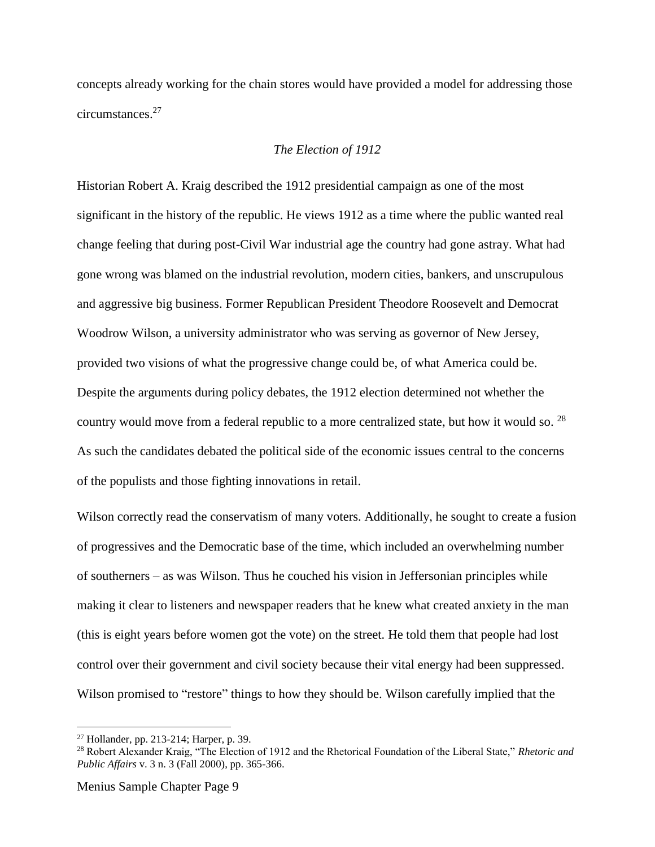concepts already working for the chain stores would have provided a model for addressing those circumstances. 27

## *The Election of 1912*

Historian Robert A. Kraig described the 1912 presidential campaign as one of the most significant in the history of the republic. He views 1912 as a time where the public wanted real change feeling that during post-Civil War industrial age the country had gone astray. What had gone wrong was blamed on the industrial revolution, modern cities, bankers, and unscrupulous and aggressive big business. Former Republican President Theodore Roosevelt and Democrat Woodrow Wilson, a university administrator who was serving as governor of New Jersey, provided two visions of what the progressive change could be, of what America could be. Despite the arguments during policy debates, the 1912 election determined not whether the country would move from a federal republic to a more centralized state, but how it would so.  $^{28}$ As such the candidates debated the political side of the economic issues central to the concerns of the populists and those fighting innovations in retail.

Wilson correctly read the conservatism of many voters. Additionally, he sought to create a fusion of progressives and the Democratic base of the time, which included an overwhelming number of southerners – as was Wilson. Thus he couched his vision in Jeffersonian principles while making it clear to listeners and newspaper readers that he knew what created anxiety in the man (this is eight years before women got the vote) on the street. He told them that people had lost control over their government and civil society because their vital energy had been suppressed. Wilson promised to "restore" things to how they should be. Wilson carefully implied that the

<sup>27</sup> Hollander, pp. 213-214; Harper, p. 39.

<sup>28</sup> Robert Alexander Kraig, "The Election of 1912 and the Rhetorical Foundation of the Liberal State," *Rhetoric and Public Affairs* v. 3 n. 3 (Fall 2000), pp. 365-366.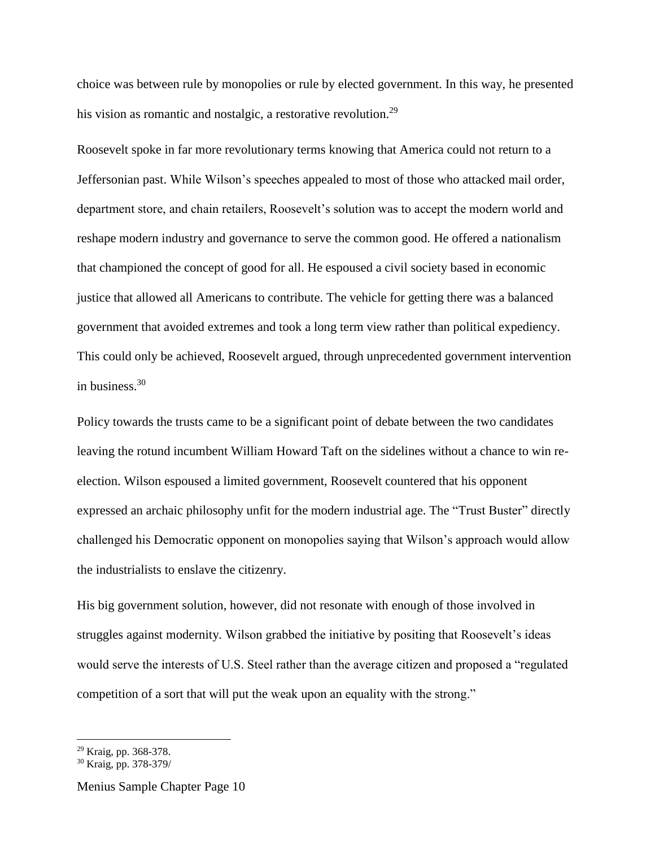choice was between rule by monopolies or rule by elected government. In this way, he presented his vision as romantic and nostalgic, a restorative revolution.<sup>29</sup>

Roosevelt spoke in far more revolutionary terms knowing that America could not return to a Jeffersonian past. While Wilson's speeches appealed to most of those who attacked mail order, department store, and chain retailers, Roosevelt's solution was to accept the modern world and reshape modern industry and governance to serve the common good. He offered a nationalism that championed the concept of good for all. He espoused a civil society based in economic justice that allowed all Americans to contribute. The vehicle for getting there was a balanced government that avoided extremes and took a long term view rather than political expediency. This could only be achieved, Roosevelt argued, through unprecedented government intervention in business.<sup>30</sup>

Policy towards the trusts came to be a significant point of debate between the two candidates leaving the rotund incumbent William Howard Taft on the sidelines without a chance to win reelection. Wilson espoused a limited government, Roosevelt countered that his opponent expressed an archaic philosophy unfit for the modern industrial age. The "Trust Buster" directly challenged his Democratic opponent on monopolies saying that Wilson's approach would allow the industrialists to enslave the citizenry.

His big government solution, however, did not resonate with enough of those involved in struggles against modernity. Wilson grabbed the initiative by positing that Roosevelt's ideas would serve the interests of U.S. Steel rather than the average citizen and proposed a "regulated competition of a sort that will put the weak upon an equality with the strong."

<sup>29</sup> Kraig, pp. 368-378.

<sup>30</sup> Kraig, pp. 378-379/

Menius Sample Chapter Page 10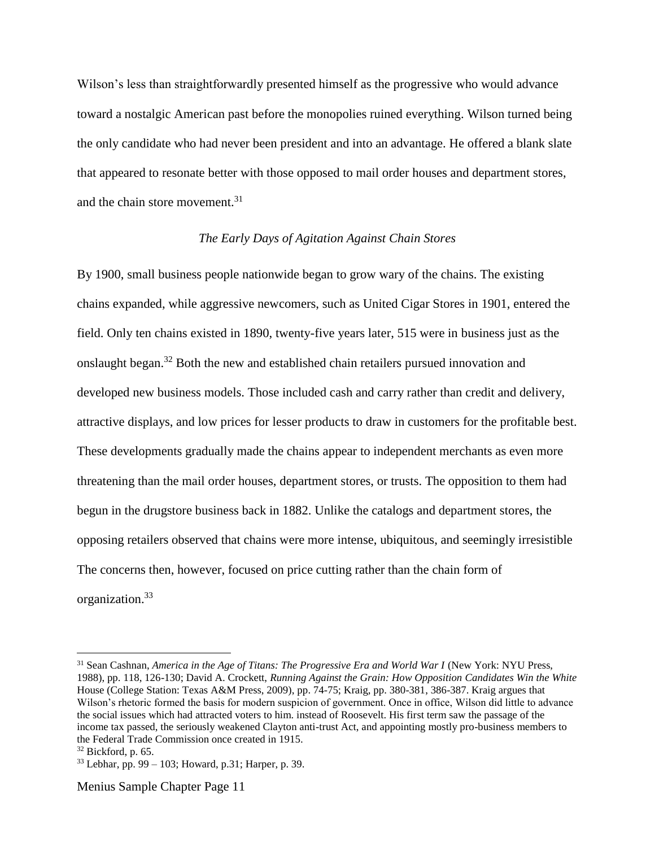Wilson's less than straightforwardly presented himself as the progressive who would advance toward a nostalgic American past before the monopolies ruined everything. Wilson turned being the only candidate who had never been president and into an advantage. He offered a blank slate that appeared to resonate better with those opposed to mail order houses and department stores, and the chain store movement. 31

#### *The Early Days of Agitation Against Chain Stores*

By 1900, small business people nationwide began to grow wary of the chains. The existing chains expanded, while aggressive newcomers, such as United Cigar Stores in 1901, entered the field. Only ten chains existed in 1890, twenty-five years later, 515 were in business just as the onslaught began.<sup>32</sup> Both the new and established chain retailers pursued innovation and developed new business models. Those included cash and carry rather than credit and delivery, attractive displays, and low prices for lesser products to draw in customers for the profitable best. These developments gradually made the chains appear to independent merchants as even more threatening than the mail order houses, department stores, or trusts. The opposition to them had begun in the drugstore business back in 1882. Unlike the catalogs and department stores, the opposing retailers observed that chains were more intense, ubiquitous, and seemingly irresistible The concerns then, however, focused on price cutting rather than the chain form of organization. 33

<sup>&</sup>lt;sup>31</sup> Sean Cashnan, *America in the Age of Titans: The Progressive Era and World War I* (New York: NYU Press, 1988), pp. 118, 126-130; David A. Crockett, *Running Against the Grain: How Opposition Candidates Win the White*  House (College Station: Texas A&M Press, 2009), pp. 74-75; Kraig, pp. 380-381, 386-387. Kraig argues that Wilson's rhetoric formed the basis for modern suspicion of government. Once in office, Wilson did little to advance the social issues which had attracted voters to him. instead of Roosevelt. His first term saw the passage of the income tax passed, the seriously weakened Clayton anti-trust Act, and appointing mostly pro-business members to the Federal Trade Commission once created in 1915.

 $32$  Bickford, p. 65.

 $33$  Lebhar, pp. 99 – 103; Howard, p. 31; Harper, p. 39.

Menius Sample Chapter Page 11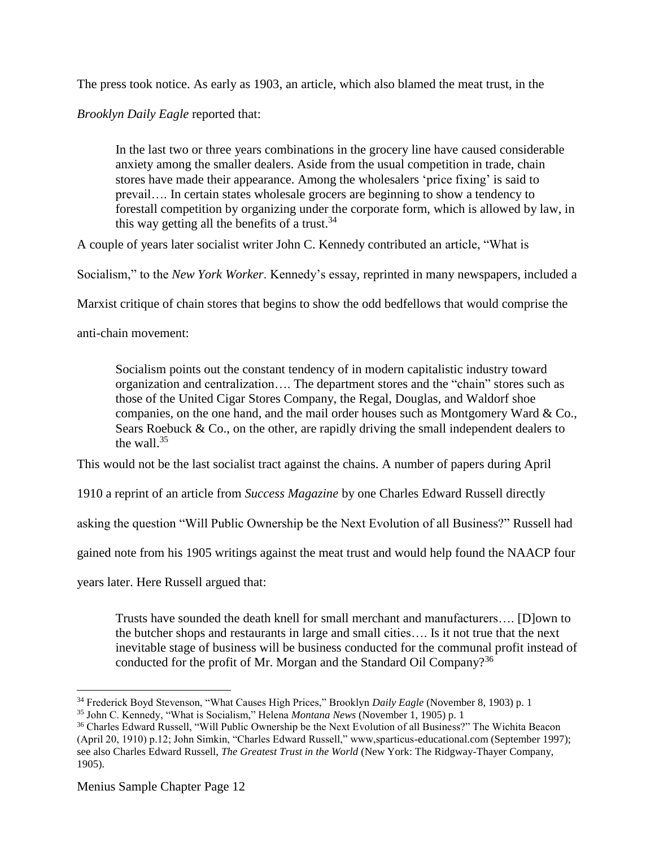The press took notice. As early as 1903, an article, which also blamed the meat trust, in the

*Brooklyn Daily Eagle* reported that:

In the last two or three years combinations in the grocery line have caused considerable anxiety among the smaller dealers. Aside from the usual competition in trade, chain stores have made their appearance. Among the wholesalers 'price fixing' is said to prevail…. In certain states wholesale grocers are beginning to show a tendency to forestall competition by organizing under the corporate form, which is allowed by law, in this way getting all the benefits of a trust.<sup>34</sup>

A couple of years later socialist writer John C. Kennedy contributed an article, "What is

Socialism," to the *New York Worker*. Kennedy's essay, reprinted in many newspapers, included a

Marxist critique of chain stores that begins to show the odd bedfellows that would comprise the

anti-chain movement:

Socialism points out the constant tendency of in modern capitalistic industry toward organization and centralization…. The department stores and the "chain" stores such as those of the United Cigar Stores Company, the Regal, Douglas, and Waldorf shoe companies, on the one hand, and the mail order houses such as Montgomery Ward & Co., Sears Roebuck  $& Co.,$  on the other, are rapidly driving the small independent dealers to the wall. $35$ 

This would not be the last socialist tract against the chains. A number of papers during April

1910 a reprint of an article from *Success Magazine* by one Charles Edward Russell directly

asking the question "Will Public Ownership be the Next Evolution of all Business?" Russell had

gained note from his 1905 writings against the meat trust and would help found the NAACP four

years later. Here Russell argued that:

Trusts have sounded the death knell for small merchant and manufacturers…. [D]own to the butcher shops and restaurants in large and small cities…. Is it not true that the next inevitable stage of business will be business conducted for the communal profit instead of conducted for the profit of Mr. Morgan and the Standard Oil Company?<sup>36</sup>

<sup>34</sup> Frederick Boyd Stevenson, "What Causes High Prices," Brooklyn *Daily Eagle* (November 8, 1903) p. 1

<sup>35</sup> John C. Kennedy, "What is Socialism," Helena *Montana News* (November 1, 1905) p. 1

<sup>36</sup> Charles Edward Russell, "Will Public Ownership be the Next Evolution of all Business?" The Wichita Beacon (April 20, 1910) p.12; John Simkin, "Charles Edward Russell," www,sparticus-educational.com (September 1997); see also Charles Edward Russell, *The Greatest Trust in the World* (New York: The Ridgway-Thayer Company, 1905).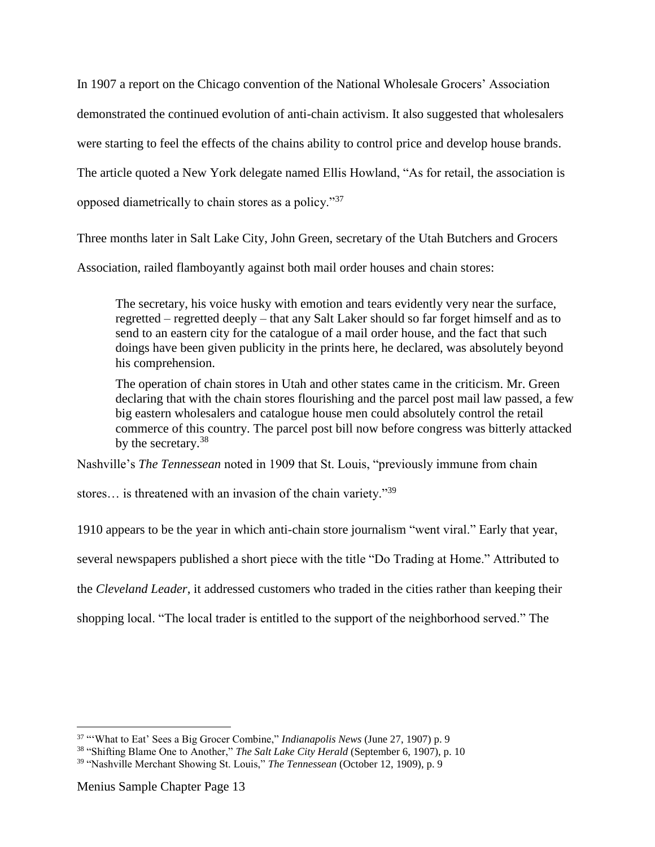In 1907 a report on the Chicago convention of the National Wholesale Grocers' Association demonstrated the continued evolution of anti-chain activism. It also suggested that wholesalers were starting to feel the effects of the chains ability to control price and develop house brands. The article quoted a New York delegate named Ellis Howland, "As for retail, the association is opposed diametrically to chain stores as a policy."<sup>37</sup>

Three months later in Salt Lake City, John Green, secretary of the Utah Butchers and Grocers

Association, railed flamboyantly against both mail order houses and chain stores:

The secretary, his voice husky with emotion and tears evidently very near the surface, regretted – regretted deeply – that any Salt Laker should so far forget himself and as to send to an eastern city for the catalogue of a mail order house, and the fact that such doings have been given publicity in the prints here, he declared, was absolutely beyond his comprehension.

The operation of chain stores in Utah and other states came in the criticism. Mr. Green declaring that with the chain stores flourishing and the parcel post mail law passed, a few big eastern wholesalers and catalogue house men could absolutely control the retail commerce of this country. The parcel post bill now before congress was bitterly attacked by the secretary.<sup>38</sup>

Nashville's *The Tennessean* noted in 1909 that St. Louis, "previously immune from chain

stores... is threatened with an invasion of the chain variety."<sup>39</sup>

1910 appears to be the year in which anti-chain store journalism "went viral." Early that year,

several newspapers published a short piece with the title "Do Trading at Home." Attributed to

the *Cleveland Leader*, it addressed customers who traded in the cities rather than keeping their

shopping local. "The local trader is entitled to the support of the neighborhood served." The

<sup>37</sup> "'What to Eat' Sees a Big Grocer Combine," *Indianapolis News* (June 27, 1907) p. 9

<sup>38</sup> "Shifting Blame One to Another," *The Salt Lake City Herald* (September 6, 1907), p. 10

<sup>39</sup> "Nashville Merchant Showing St. Louis," *The Tennessean* (October 12, 1909), p. 9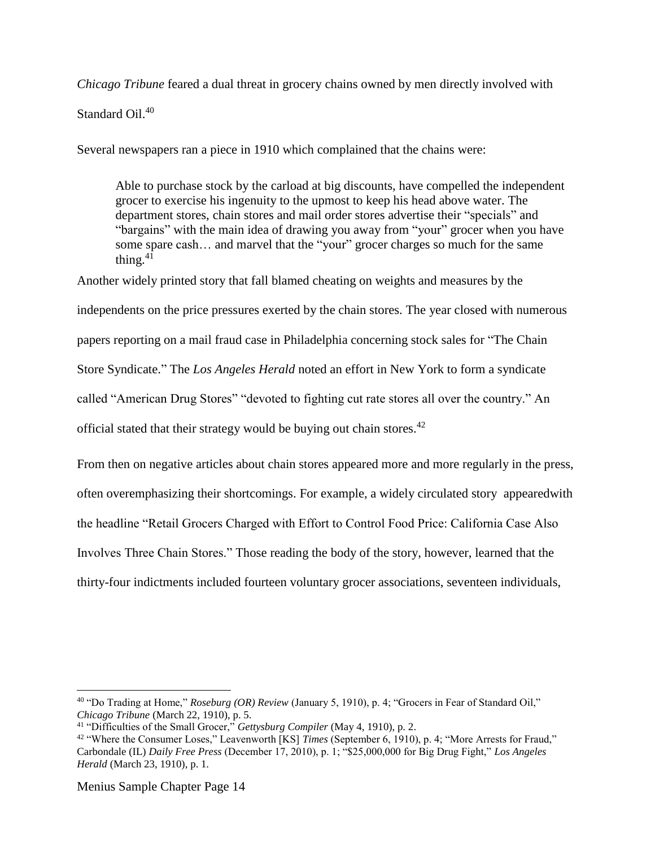*Chicago Tribune* feared a dual threat in grocery chains owned by men directly involved with

Standard Oil.<sup>40</sup>

Several newspapers ran a piece in 1910 which complained that the chains were:

Able to purchase stock by the carload at big discounts, have compelled the independent grocer to exercise his ingenuity to the upmost to keep his head above water. The department stores, chain stores and mail order stores advertise their "specials" and "bargains" with the main idea of drawing you away from "your" grocer when you have some spare cash… and marvel that the "your" grocer charges so much for the same thing. $41$ 

Another widely printed story that fall blamed cheating on weights and measures by the

independents on the price pressures exerted by the chain stores. The year closed with numerous

papers reporting on a mail fraud case in Philadelphia concerning stock sales for "The Chain

Store Syndicate." The *Los Angeles Herald* noted an effort in New York to form a syndicate

called "American Drug Stores" "devoted to fighting cut rate stores all over the country." An

official stated that their strategy would be buying out chain stores.<sup>42</sup>

From then on negative articles about chain stores appeared more and more regularly in the press, often overemphasizing their shortcomings. For example, a widely circulated story appearedwith the headline "Retail Grocers Charged with Effort to Control Food Price: California Case Also Involves Three Chain Stores." Those reading the body of the story, however, learned that the thirty-four indictments included fourteen voluntary grocer associations, seventeen individuals,

<sup>40</sup> "Do Trading at Home," *Roseburg (OR) Review* (January 5, 1910), p. 4; "Grocers in Fear of Standard Oil," *Chicago Tribune* (March 22, 1910), p. 5.

<sup>41</sup> "Difficulties of the Small Grocer," *Gettysburg Compiler* (May 4, 1910), p. 2.

<sup>42</sup> "Where the Consumer Loses," Leavenworth [KS] *Times* (September 6, 1910), p. 4; "More Arrests for Fraud," Carbondale (IL) *Daily Free Press* (December 17, 2010), p. 1; "\$25,000,000 for Big Drug Fight," *Los Angeles Herald* (March 23, 1910), p. 1.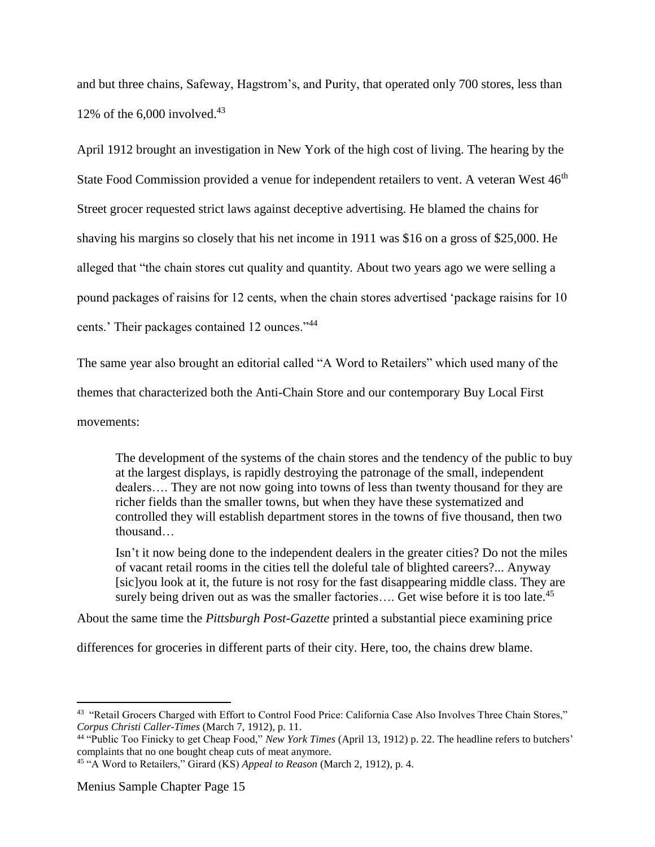and but three chains, Safeway, Hagstrom's, and Purity, that operated only 700 stores, less than 12% of the 6,000 involved. 43

April 1912 brought an investigation in New York of the high cost of living. The hearing by the State Food Commission provided a venue for independent retailers to vent. A veteran West 46<sup>th</sup> Street grocer requested strict laws against deceptive advertising. He blamed the chains for shaving his margins so closely that his net income in 1911 was \$16 on a gross of \$25,000. He alleged that "the chain stores cut quality and quantity. About two years ago we were selling a pound packages of raisins for 12 cents, when the chain stores advertised 'package raisins for 10 cents.' Their packages contained 12 ounces."<sup>44</sup>

The same year also brought an editorial called "A Word to Retailers" which used many of the themes that characterized both the Anti-Chain Store and our contemporary Buy Local First movements:

The development of the systems of the chain stores and the tendency of the public to buy at the largest displays, is rapidly destroying the patronage of the small, independent dealers…. They are not now going into towns of less than twenty thousand for they are richer fields than the smaller towns, but when they have these systematized and controlled they will establish department stores in the towns of five thousand, then two thousand…

Isn't it now being done to the independent dealers in the greater cities? Do not the miles of vacant retail rooms in the cities tell the doleful tale of blighted careers?... Anyway [sic]you look at it, the future is not rosy for the fast disappearing middle class. They are surely being driven out as was the smaller factories.... Get wise before it is too late.<sup>45</sup>

About the same time the *Pittsburgh Post-Gazette* printed a substantial piece examining price

differences for groceries in different parts of their city. Here, too, the chains drew blame.

<sup>&</sup>lt;sup>43</sup> "Retail Grocers Charged with Effort to Control Food Price: California Case Also Involves Three Chain Stores," *Corpus Christi Caller-Times* (March 7, 1912), p. 11.

<sup>44</sup> "Public Too Finicky to get Cheap Food," *New York Times* (April 13, 1912) p. 22. The headline refers to butchers' complaints that no one bought cheap cuts of meat anymore.

<sup>45</sup> "A Word to Retailers," Girard (KS) *Appeal to Reason* (March 2, 1912), p. 4.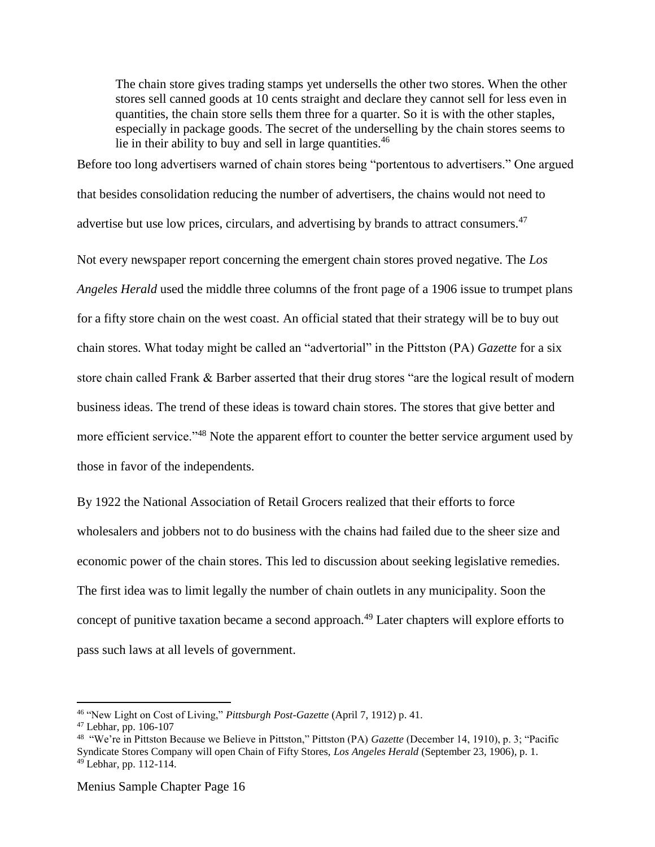The chain store gives trading stamps yet undersells the other two stores. When the other stores sell canned goods at 10 cents straight and declare they cannot sell for less even in quantities, the chain store sells them three for a quarter. So it is with the other staples, especially in package goods. The secret of the underselling by the chain stores seems to lie in their ability to buy and sell in large quantities.<sup>46</sup>

Before too long advertisers warned of chain stores being "portentous to advertisers." One argued that besides consolidation reducing the number of advertisers, the chains would not need to advertise but use low prices, circulars, and advertising by brands to attract consumers.<sup>47</sup>

Not every newspaper report concerning the emergent chain stores proved negative. The *Los Angeles Herald* used the middle three columns of the front page of a 1906 issue to trumpet plans for a fifty store chain on the west coast. An official stated that their strategy will be to buy out chain stores. What today might be called an "advertorial" in the Pittston (PA) *Gazette* for a six store chain called Frank & Barber asserted that their drug stores "are the logical result of modern business ideas. The trend of these ideas is toward chain stores. The stores that give better and more efficient service."<sup>48</sup> Note the apparent effort to counter the better service argument used by those in favor of the independents.

By 1922 the National Association of Retail Grocers realized that their efforts to force wholesalers and jobbers not to do business with the chains had failed due to the sheer size and economic power of the chain stores. This led to discussion about seeking legislative remedies. The first idea was to limit legally the number of chain outlets in any municipality. Soon the concept of punitive taxation became a second approach.<sup>49</sup> Later chapters will explore efforts to pass such laws at all levels of government.

<sup>46</sup> "New Light on Cost of Living," *Pittsburgh Post-Gazette* (April 7, 1912) p. 41.

<sup>47</sup> Lebhar, pp. 106-107

<sup>48</sup> "We're in Pittston Because we Believe in Pittston," Pittston (PA) *Gazette* (December 14, 1910), p. 3; "Pacific Syndicate Stores Company will open Chain of Fifty Stores, *Los Angeles Herald* (September 23, 1906), p. 1.  $49$  Lebhar, pp. 112-114.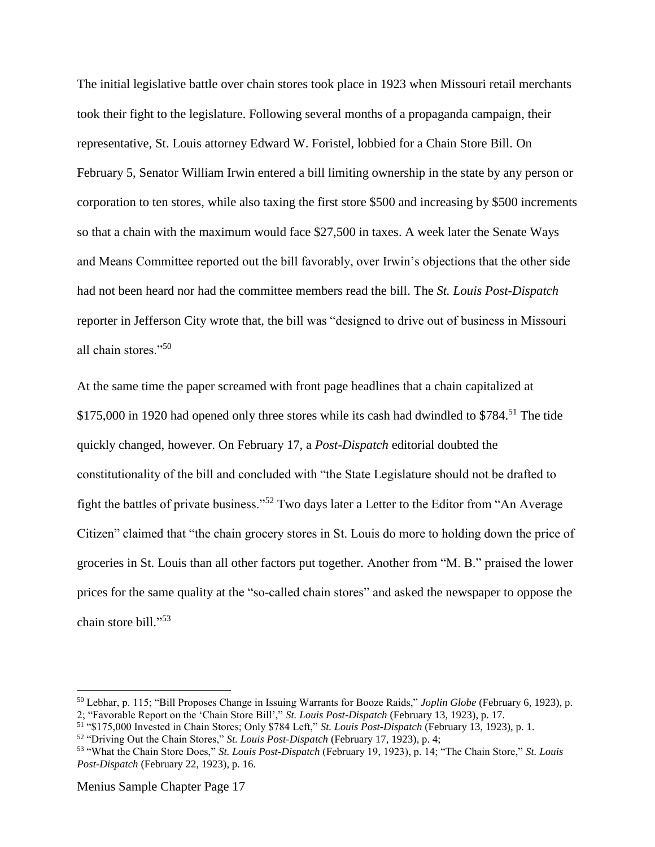The initial legislative battle over chain stores took place in 1923 when Missouri retail merchants took their fight to the legislature. Following several months of a propaganda campaign, their representative, St. Louis attorney Edward W. Foristel, lobbied for a Chain Store Bill. On February 5, Senator William Irwin entered a bill limiting ownership in the state by any person or corporation to ten stores, while also taxing the first store \$500 and increasing by \$500 increments so that a chain with the maximum would face \$27,500 in taxes. A week later the Senate Ways and Means Committee reported out the bill favorably, over Irwin's objections that the other side had not been heard nor had the committee members read the bill. The *St. Louis Post-Dispatch* reporter in Jefferson City wrote that, the bill was "designed to drive out of business in Missouri all chain stores."<sup>50</sup>

At the same time the paper screamed with front page headlines that a chain capitalized at \$175,000 in 1920 had opened only three stores while its cash had dwindled to \$784.<sup>51</sup> The tide quickly changed, however. On February 17, a *Post-Dispatch* editorial doubted the constitutionality of the bill and concluded with "the State Legislature should not be drafted to fight the battles of private business."<sup>52</sup> Two days later a Letter to the Editor from "An Average Citizen" claimed that "the chain grocery stores in St. Louis do more to holding down the price of groceries in St. Louis than all other factors put together. Another from "M. B." praised the lower prices for the same quality at the "so-called chain stores" and asked the newspaper to oppose the chain store bill." 53

Menius Sample Chapter Page 17

<sup>50</sup> Lebhar, p. 115; "Bill Proposes Change in Issuing Warrants for Booze Raids," *Joplin Globe* (February 6, 1923), p.

<sup>2; &</sup>quot;Favorable Report on the 'Chain Store Bill'," *St. Louis Post-Dispatch* (February 13, 1923), p. 17.

<sup>51</sup> "\$175,000 Invested in Chain Stores; Only \$784 Left," *St. Louis Post-Dispatch* (February 13, 1923), p. 1.

<sup>52</sup> "Driving Out the Chain Stores," *St. Louis Post-Dispatch* (February 17, 1923), p. 4;

<sup>53</sup> "What the Chain Store Does," *St. Louis Post-Dispatch* (February 19, 1923), p. 14; "The Chain Store," *St. Louis Post-Dispatch* (February 22, 1923), p. 16.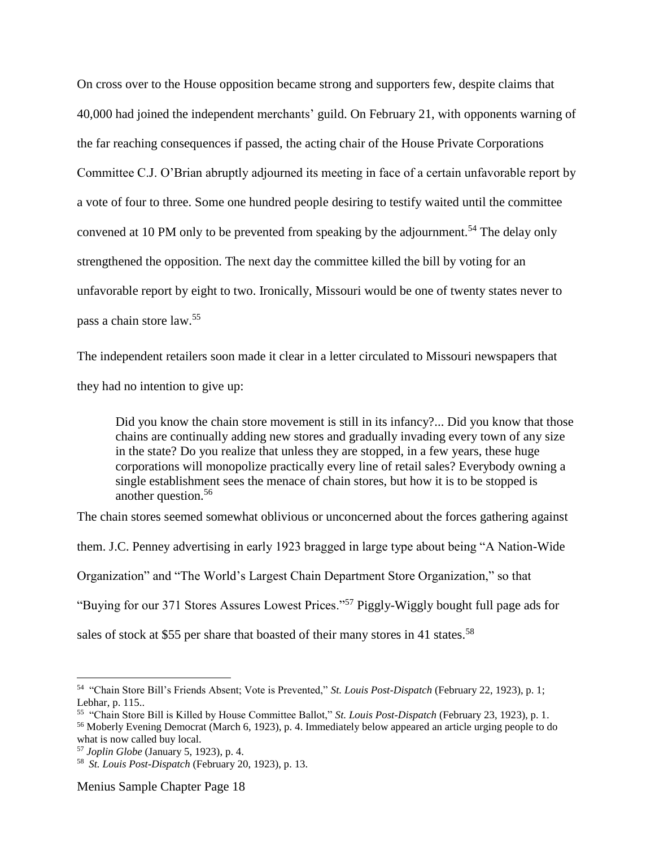On cross over to the House opposition became strong and supporters few, despite claims that 40,000 had joined the independent merchants' guild. On February 21, with opponents warning of the far reaching consequences if passed, the acting chair of the House Private Corporations Committee C.J. O'Brian abruptly adjourned its meeting in face of a certain unfavorable report by a vote of four to three. Some one hundred people desiring to testify waited until the committee convened at 10 PM only to be prevented from speaking by the adjournment.<sup>54</sup> The delay only strengthened the opposition. The next day the committee killed the bill by voting for an unfavorable report by eight to two. Ironically, Missouri would be one of twenty states never to pass a chain store law.<sup>55</sup>

The independent retailers soon made it clear in a letter circulated to Missouri newspapers that they had no intention to give up:

Did you know the chain store movement is still in its infancy?... Did you know that those chains are continually adding new stores and gradually invading every town of any size in the state? Do you realize that unless they are stopped, in a few years, these huge corporations will monopolize practically every line of retail sales? Everybody owning a single establishment sees the menace of chain stores, but how it is to be stopped is another question.<sup>56</sup>

The chain stores seemed somewhat oblivious or unconcerned about the forces gathering against them. J.C. Penney advertising in early 1923 bragged in large type about being "A Nation-Wide Organization" and "The World's Largest Chain Department Store Organization," so that "Buying for our 371 Stores Assures Lowest Prices."<sup>57</sup> Piggly-Wiggly bought full page ads for sales of stock at \$55 per share that boasted of their many stores in 41 states.<sup>58</sup>

 $\overline{a}$ 

Menius Sample Chapter Page 18

<sup>54</sup> "Chain Store Bill's Friends Absent; Vote is Prevented," *St. Louis Post-Dispatch* (February 22, 1923), p. 1; Lebhar, p. 115..

<sup>55</sup> "Chain Store Bill is Killed by House Committee Ballot," *St. Louis Post-Dispatch* (February 23, 1923), p. 1. <sup>56</sup> Moberly Evening Democrat (March 6, 1923), p. 4. Immediately below appeared an article urging people to do what is now called buy local.

<sup>57</sup> *Joplin Globe* (January 5, 1923), p. 4.

<sup>58</sup> *St. Louis Post-Dispatch* (February 20, 1923), p. 13.